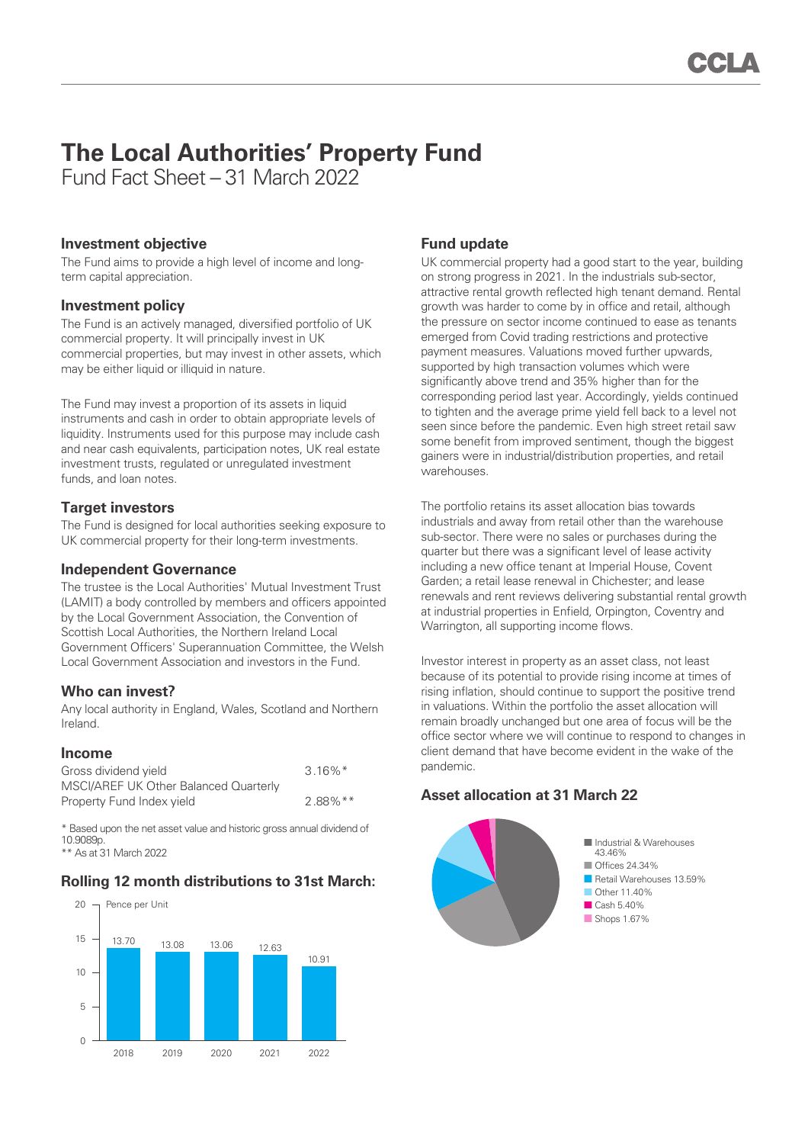# **The Local Authorities' Property Fund**

Fund Fact Sheet – 31 March 2022

## **Investment objective**

The Fund aims to provide a high level of income and longterm capital appreciation.

### **Investment policy**

The Fund is an actively managed, diversified portfolio of UK commercial property. It will principally invest in UK commercial properties, but may invest in other assets, which may be either liquid or illiquid in nature.

The Fund may invest a proportion of its assets in liquid instruments and cash in order to obtain appropriate levels of liquidity. Instruments used for this purpose may include cash and near cash equivalents, participation notes, UK real estate investment trusts, regulated or unregulated investment funds, and loan notes.

# **Target investors**

The Fund is designed for local authorities seeking exposure to UK commercial property for their long-term investments.

### **Independent Governance**

The trustee is the Local Authorities' Mutual Investment Trust (LAMIT) a body controlled by members and officers appointed by the Local Government Association, the Convention of Scottish Local Authorities, the Northern Ireland Local Government Officers' Superannuation Committee, the Welsh Local Government Association and investors in the Fund.

### **Who can invest?**

Any local authority in England, Wales, Scotland and Northern Ireland.

### **Income**

| Gross dividend yield                  | $3.16\%$ <sup>*</sup> |
|---------------------------------------|-----------------------|
| MSCI/AREF UK Other Balanced Quarterly |                       |
| Property Fund Index yield             | $2.88\%$ **           |

\* Based upon the net asset value and historic gross annual dividend of 10.9089p.

\*\* As at 31 March 2022

# **Rolling 12 month distributions to 31st March:**



# **Fund update**

UK commercial property had a good start to the year, building on strong progress in 2021. In the industrials sub-sector, attractive rental growth reflected high tenant demand. Rental growth was harder to come by in office and retail, although the pressure on sector income continued to ease as tenants emerged from Covid trading restrictions and protective payment measures. Valuations moved further upwards, supported by high transaction volumes which were significantly above trend and 35% higher than for the corresponding period last year. Accordingly, yields continued to tighten and the average prime yield fell back to a level not seen since before the pandemic. Even high street retail saw some benefit from improved sentiment, though the biggest gainers were in industrial/distribution properties, and retail warehouses.

The portfolio retains its asset allocation bias towards industrials and away from retail other than the warehouse sub-sector. There were no sales or purchases during the quarter but there was a significant level of lease activity including a new office tenant at Imperial House, Covent Garden; a retail lease renewal in Chichester; and lease renewals and rent reviews delivering substantial rental growth at industrial properties in Enfield, Orpington, Coventry and Warrington, all supporting income flows.

Investor interest in property as an asset class, not least because of its potential to provide rising income at times of rising inflation, should continue to support the positive trend in valuations. Within the portfolio the asset allocation will remain broadly unchanged but one area of focus will be the office sector where we will continue to respond to changes in client demand that have become evident in the wake of the pandemic.

# **Asset allocation at 31 March 22**